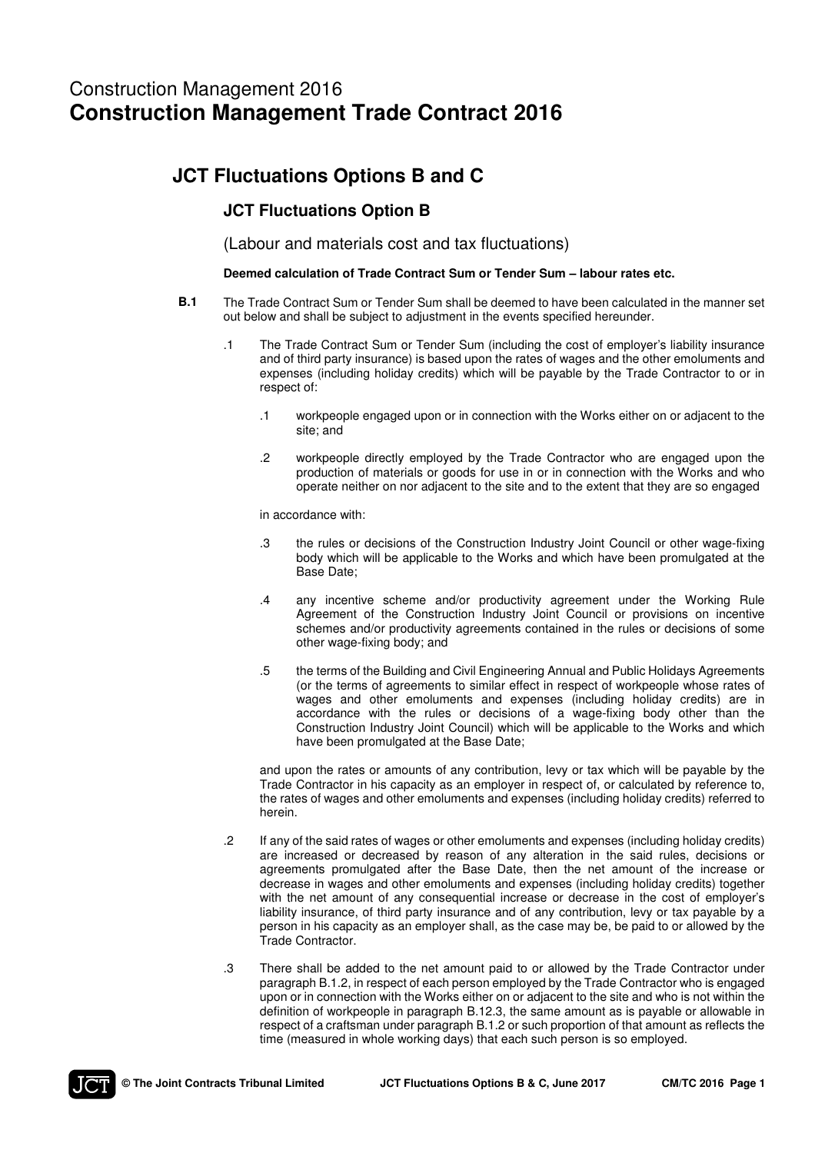# Construction Management 2016 **Construction Management Trade Contract 2016**

# **JCT Fluctuations Options B and C**

### **JCT Fluctuations Option B**

(Labour and materials cost and tax fluctuations)

### **Deemed calculation of Trade Contract Sum or Tender Sum – labour rates etc.**

- **B.1** The Trade Contract Sum or Tender Sum shall be deemed to have been calculated in the manner set out below and shall be subject to adjustment in the events specified hereunder.
	- .1 The Trade Contract Sum or Tender Sum (including the cost of employer's liability insurance and of third party insurance) is based upon the rates of wages and the other emoluments and expenses (including holiday credits) which will be payable by the Trade Contractor to or in respect of:
		- .1 workpeople engaged upon or in connection with the Works either on or adjacent to the site; and
		- .2 workpeople directly employed by the Trade Contractor who are engaged upon the production of materials or goods for use in or in connection with the Works and who operate neither on nor adjacent to the site and to the extent that they are so engaged

in accordance with:

- .3 the rules or decisions of the Construction Industry Joint Council or other wage-fixing body which will be applicable to the Works and which have been promulgated at the Base Date;
- .4 any incentive scheme and/or productivity agreement under the Working Rule Agreement of the Construction Industry Joint Council or provisions on incentive schemes and/or productivity agreements contained in the rules or decisions of some other wage-fixing body; and
- .5 the terms of the Building and Civil Engineering Annual and Public Holidays Agreements (or the terms of agreements to similar effect in respect of workpeople whose rates of wages and other emoluments and expenses (including holiday credits) are in accordance with the rules or decisions of a wage-fixing body other than the Construction Industry Joint Council) which will be applicable to the Works and which have been promulgated at the Base Date;

 and upon the rates or amounts of any contribution, levy or tax which will be payable by the Trade Contractor in his capacity as an employer in respect of, or calculated by reference to, the rates of wages and other emoluments and expenses (including holiday credits) referred to herein.

- .2 If any of the said rates of wages or other emoluments and expenses (including holiday credits) are increased or decreased by reason of any alteration in the said rules, decisions or agreements promulgated after the Base Date, then the net amount of the increase or decrease in wages and other emoluments and expenses (including holiday credits) together with the net amount of any consequential increase or decrease in the cost of employer's liability insurance, of third party insurance and of any contribution, levy or tax payable by a person in his capacity as an employer shall, as the case may be, be paid to or allowed by the Trade Contractor.
- .3 There shall be added to the net amount paid to or allowed by the Trade Contractor under paragraph B.1.2, in respect of each person employed by the Trade Contractor who is engaged upon or in connection with the Works either on or adjacent to the site and who is not within the definition of workpeople in paragraph B.12.3, the same amount as is payable or allowable in respect of a craftsman under paragraph B.1.2 or such proportion of that amount as reflects the time (measured in whole working days) that each such person is so employed.

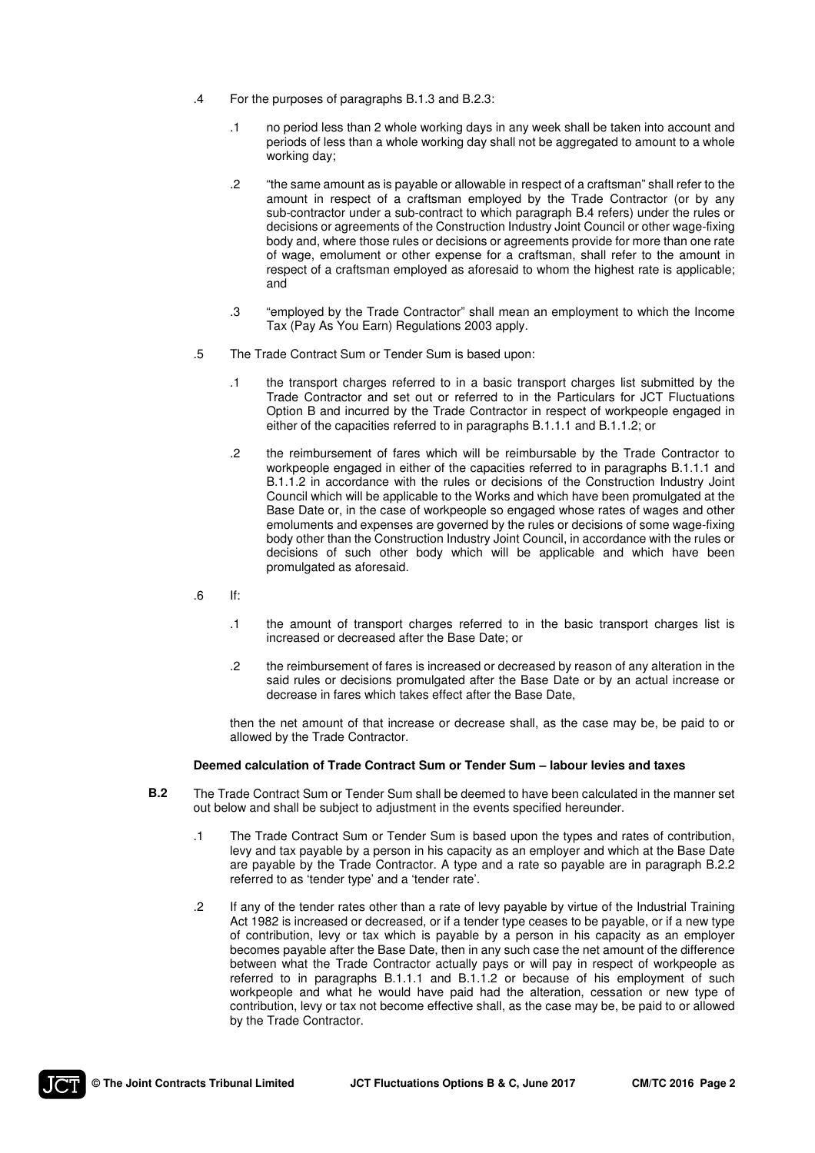- .4 For the purposes of paragraphs B.1.3 and B.2.3:
	- .1 no period less than 2 whole working days in any week shall be taken into account and periods of less than a whole working day shall not be aggregated to amount to a whole working day;
	- .2 "the same amount as is payable or allowable in respect of a craftsman" shall refer to the amount in respect of a craftsman employed by the Trade Contractor (or by any sub-contractor under a sub-contract to which paragraph B.4 refers) under the rules or decisions or agreements of the Construction Industry Joint Council or other wage-fixing body and, where those rules or decisions or agreements provide for more than one rate of wage, emolument or other expense for a craftsman, shall refer to the amount in respect of a craftsman employed as aforesaid to whom the highest rate is applicable; and
	- .3 "employed by the Trade Contractor" shall mean an employment to which the Income Tax (Pay As You Earn) Regulations 2003 apply.
- .5 The Trade Contract Sum or Tender Sum is based upon:
	- .1 the transport charges referred to in a basic transport charges list submitted by the Trade Contractor and set out or referred to in the Particulars for JCT Fluctuations Option B and incurred by the Trade Contractor in respect of workpeople engaged in either of the capacities referred to in paragraphs B.1.1.1 and B.1.1.2; or
	- .2 the reimbursement of fares which will be reimbursable by the Trade Contractor to workpeople engaged in either of the capacities referred to in paragraphs B.1.1.1 and B.1.1.2 in accordance with the rules or decisions of the Construction Industry Joint Council which will be applicable to the Works and which have been promulgated at the Base Date or, in the case of workpeople so engaged whose rates of wages and other emoluments and expenses are governed by the rules or decisions of some wage-fixing body other than the Construction Industry Joint Council, in accordance with the rules or decisions of such other body which will be applicable and which have been promulgated as aforesaid.
- $\blacksquare$ .6 If:
	- .1 the amount of transport charges referred to in the basic transport charges list is increased or decreased after the Base Date; or
	- .2 the reimbursement of fares is increased or decreased by reason of any alteration in the said rules or decisions promulgated after the Base Date or by an actual increase or decrease in fares which takes effect after the Base Date,

 then the net amount of that increase or decrease shall, as the case may be, be paid to or allowed by the Trade Contractor.

#### **Deemed calculation of Trade Contract Sum or Tender Sum – labour levies and taxes**

- **B.2** The Trade Contract Sum or Tender Sum shall be deemed to have been calculated in the manner set out below and shall be subject to adjustment in the events specified hereunder.
	- .1 The Trade Contract Sum or Tender Sum is based upon the types and rates of contribution, levy and tax payable by a person in his capacity as an employer and which at the Base Date are payable by the Trade Contractor. A type and a rate so payable are in paragraph B.2.2 referred to as 'tender type' and a 'tender rate'.
	- .2 If any of the tender rates other than a rate of levy payable by virtue of the Industrial Training Act 1982 is increased or decreased, or if a tender type ceases to be payable, or if a new type of contribution, levy or tax which is payable by a person in his capacity as an employer becomes payable after the Base Date, then in any such case the net amount of the difference between what the Trade Contractor actually pays or will pay in respect of workpeople as referred to in paragraphs B.1.1.1 and B.1.1.2 or because of his employment of such workpeople and what he would have paid had the alteration, cessation or new type of contribution, levy or tax not become effective shall, as the case may be, be paid to or allowed by the Trade Contractor.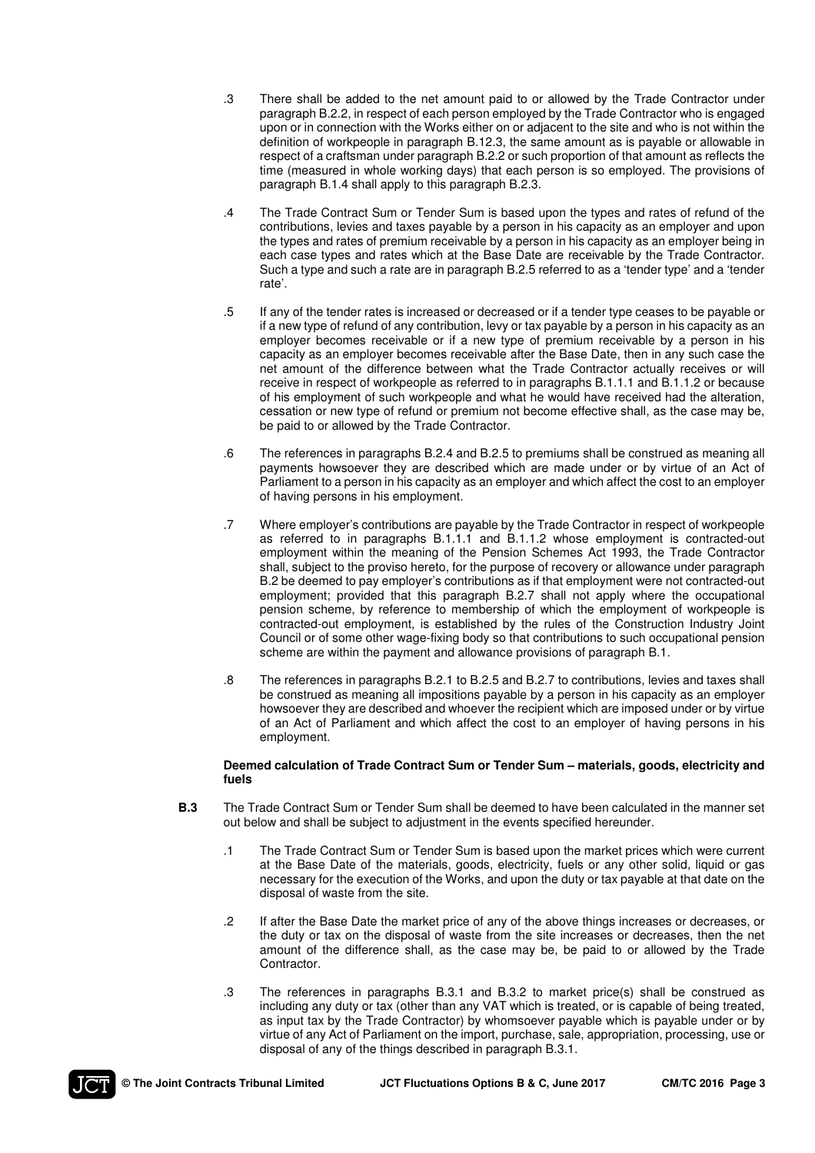- .3 There shall be added to the net amount paid to or allowed by the Trade Contractor under paragraph B.2.2, in respect of each person employed by the Trade Contractor who is engaged upon or in connection with the Works either on or adjacent to the site and who is not within the definition of workpeople in paragraph B.12.3, the same amount as is payable or allowable in respect of a craftsman under paragraph B.2.2 or such proportion of that amount as reflects the time (measured in whole working days) that each person is so employed. The provisions of paragraph B.1.4 shall apply to this paragraph B.2.3.
- .4 The Trade Contract Sum or Tender Sum is based upon the types and rates of refund of the contributions, levies and taxes payable by a person in his capacity as an employer and upon the types and rates of premium receivable by a person in his capacity as an employer being in each case types and rates which at the Base Date are receivable by the Trade Contractor. Such a type and such a rate are in paragraph B.2.5 referred to as a 'tender type' and a 'tender rate'.
- .5 If any of the tender rates is increased or decreased or if a tender type ceases to be payable or if a new type of refund of any contribution, levy or tax payable by a person in his capacity as an employer becomes receivable or if a new type of premium receivable by a person in his capacity as an employer becomes receivable after the Base Date, then in any such case the net amount of the difference between what the Trade Contractor actually receives or will receive in respect of workpeople as referred to in paragraphs B.1.1.1 and B.1.1.2 or because of his employment of such workpeople and what he would have received had the alteration, cessation or new type of refund or premium not become effective shall, as the case may be, be paid to or allowed by the Trade Contractor.
- .6 The references in paragraphs B.2.4 and B.2.5 to premiums shall be construed as meaning all payments howsoever they are described which are made under or by virtue of an Act of Parliament to a person in his capacity as an employer and which affect the cost to an employer of having persons in his employment.
- .7 Where employer's contributions are payable by the Trade Contractor in respect of workpeople as referred to in paragraphs B.1.1.1 and B.1.1.2 whose employment is contracted-out employment within the meaning of the Pension Schemes Act 1993, the Trade Contractor shall, subject to the proviso hereto, for the purpose of recovery or allowance under paragraph B.2 be deemed to pay employer's contributions as if that employment were not contracted-out employment; provided that this paragraph B.2.7 shall not apply where the occupational pension scheme, by reference to membership of which the employment of workpeople is contracted-out employment, is established by the rules of the Construction Industry Joint Council or of some other wage-fixing body so that contributions to such occupational pension scheme are within the payment and allowance provisions of paragraph B.1.
- .8 The references in paragraphs B.2.1 to B.2.5 and B.2.7 to contributions, levies and taxes shall be construed as meaning all impositions payable by a person in his capacity as an employer howsoever they are described and whoever the recipient which are imposed under or by virtue of an Act of Parliament and which affect the cost to an employer of having persons in his employment.

#### **Deemed calculation of Trade Contract Sum or Tender Sum – materials, goods, electricity and fuels**

- **B.3** The Trade Contract Sum or Tender Sum shall be deemed to have been calculated in the manner set out below and shall be subject to adjustment in the events specified hereunder.
	- .1 The Trade Contract Sum or Tender Sum is based upon the market prices which were current at the Base Date of the materials, goods, electricity, fuels or any other solid, liquid or gas necessary for the execution of the Works, and upon the duty or tax payable at that date on the disposal of waste from the site.
	- .2 If after the Base Date the market price of any of the above things increases or decreases, or the duty or tax on the disposal of waste from the site increases or decreases, then the net amount of the difference shall, as the case may be, be paid to or allowed by the Trade Contractor.
	- .3 The references in paragraphs B.3.1 and B.3.2 to market price(s) shall be construed as including any duty or tax (other than any VAT which is treated, or is capable of being treated, as input tax by the Trade Contractor) by whomsoever payable which is payable under or by virtue of any Act of Parliament on the import, purchase, sale, appropriation, processing, use or disposal of any of the things described in paragraph B.3.1.

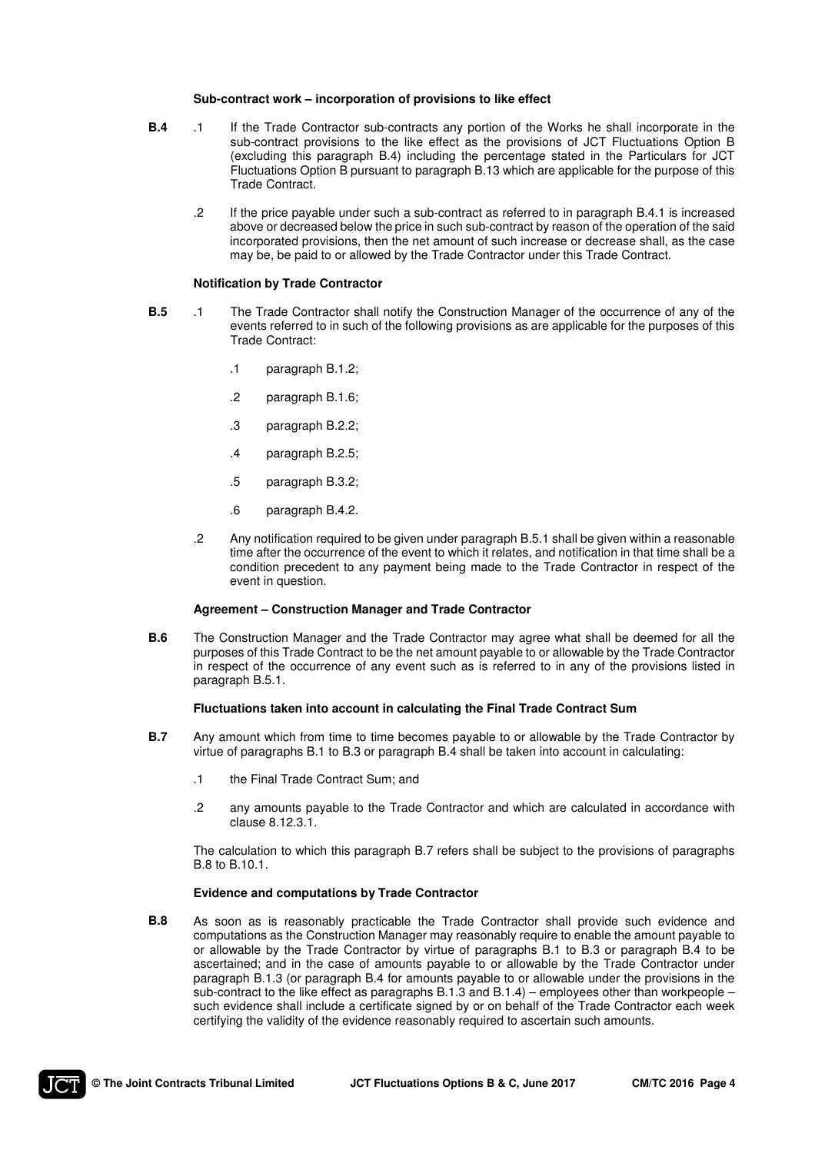#### **Sub-contract work – incorporation of provisions to like effect**

- **B.4** .1 If the Trade Contractor sub-contracts any portion of the Works he shall incorporate in the sub-contract provisions to the like effect as the provisions of JCT Fluctuations Option B (excluding this paragraph B.4) including the percentage stated in the Particulars for JCT Fluctuations Option B pursuant to paragraph B.13 which are applicable for the purpose of this Trade Contract.
	- .2 If the price payable under such a sub-contract as referred to in paragraph B.4.1 is increased above or decreased below the price in such sub-contract by reason of the operation of the said incorporated provisions, then the net amount of such increase or decrease shall, as the case may be, be paid to or allowed by the Trade Contractor under this Trade Contract.

#### **Notification by Trade Contractor**

- **B.5** .1 The Trade Contractor shall notify the Construction Manager of the occurrence of any of the events referred to in such of the following provisions as are applicable for the purposes of this Trade Contract:
	- .1 paragraph B.1.2;
	- .2 paragraph B.1.6;
	- .3 paragraph B.2.2;
	- .4 paragraph B.2.5;
	- .5 paragraph B.3.2;
	- .6 paragraph B.4.2.
	- .2 Any notification required to be given under paragraph B.5.1 shall be given within a reasonable time after the occurrence of the event to which it relates, and notification in that time shall be a condition precedent to any payment being made to the Trade Contractor in respect of the event in question.

#### **Agreement – Construction Manager and Trade Contractor**

**B.6** The Construction Manager and the Trade Contractor may agree what shall be deemed for all the purposes of this Trade Contract to be the net amount payable to or allowable by the Trade Contractor in respect of the occurrence of any event such as is referred to in any of the provisions listed in paragraph B.5.1.

#### **Fluctuations taken into account in calculating the Final Trade Contract Sum**

- **B.7** Any amount which from time to time becomes payable to or allowable by the Trade Contractor by virtue of paragraphs B.1 to B.3 or paragraph B.4 shall be taken into account in calculating:
	- .1 the Final Trade Contract Sum; and
	- .2 any amounts payable to the Trade Contractor and which are calculated in accordance with clause 8.12.3.1.

 The calculation to which this paragraph B.7 refers shall be subject to the provisions of paragraphs B.8 to B.10.1.

#### **Evidence and computations by Trade Contractor**

**B.8** As soon as is reasonably practicable the Trade Contractor shall provide such evidence and computations as the Construction Manager may reasonably require to enable the amount payable to or allowable by the Trade Contractor by virtue of paragraphs B.1 to B.3 or paragraph B.4 to be ascertained; and in the case of amounts payable to or allowable by the Trade Contractor under paragraph B.1.3 (or paragraph B.4 for amounts payable to or allowable under the provisions in the sub-contract to the like effect as paragraphs B.1.3 and B.1.4) – employees other than workpeople – such evidence shall include a certificate signed by or on behalf of the Trade Contractor each week certifying the validity of the evidence reasonably required to ascertain such amounts.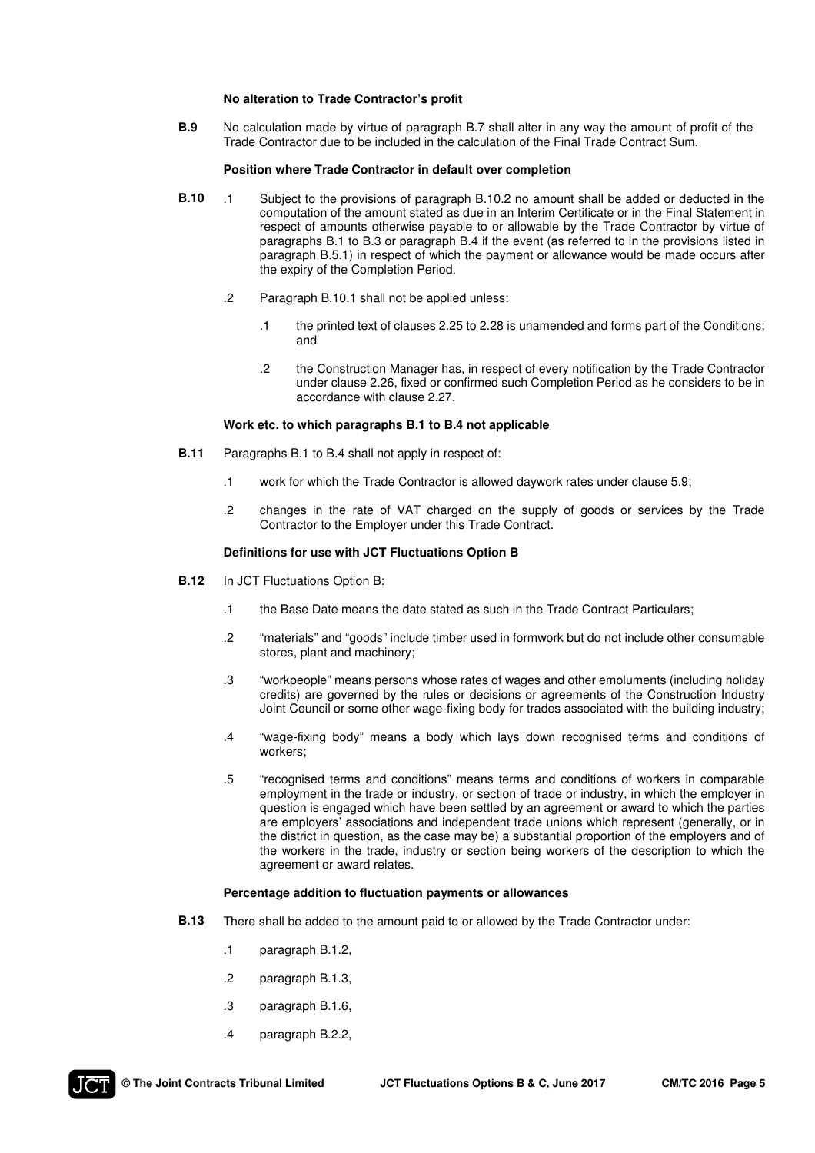#### **No alteration to Trade Contractor's profit**

**B.9** No calculation made by virtue of paragraph B.7 shall alter in any way the amount of profit of the Trade Contractor due to be included in the calculation of the Final Trade Contract Sum.

#### **Position where Trade Contractor in default over completion**

- **B.10** .1 Subject to the provisions of paragraph B.10.2 no amount shall be added or deducted in the computation of the amount stated as due in an Interim Certificate or in the Final Statement in respect of amounts otherwise payable to or allowable by the Trade Contractor by virtue of paragraphs B.1 to B.3 or paragraph B.4 if the event (as referred to in the provisions listed in paragraph B.5.1) in respect of which the payment or allowance would be made occurs after the expiry of the Completion Period.
	- .2 Paragraph B.10.1 shall not be applied unless:
		- .1 the printed text of clauses 2.25 to 2.28 is unamended and forms part of the Conditions; and
		- .2 the Construction Manager has, in respect of every notification by the Trade Contractor under clause 2.26, fixed or confirmed such Completion Period as he considers to be in accordance with clause 2.27.

#### **Work etc. to which paragraphs B.1 to B.4 not applicable**

- **B.11** Paragraphs B.1 to B.4 shall not apply in respect of:
	- .1 work for which the Trade Contractor is allowed daywork rates under clause 5.9;
	- .2 changes in the rate of VAT charged on the supply of goods or services by the Trade Contractor to the Employer under this Trade Contract.

#### **Definitions for use with JCT Fluctuations Option B**

- **B.12** In JCT Fluctuations Option B:
	- .1 the Base Date means the date stated as such in the Trade Contract Particulars;
	- .2 "materials" and "goods" include timber used in formwork but do not include other consumable stores, plant and machinery;
	- .3 "workpeople" means persons whose rates of wages and other emoluments (including holiday credits) are governed by the rules or decisions or agreements of the Construction Industry Joint Council or some other wage-fixing body for trades associated with the building industry;
	- .4 "wage-fixing body" means a body which lays down recognised terms and conditions of workers;
	- .5 "recognised terms and conditions" means terms and conditions of workers in comparable employment in the trade or industry, or section of trade or industry, in which the employer in question is engaged which have been settled by an agreement or award to which the parties are employers' associations and independent trade unions which represent (generally, or in the district in question, as the case may be) a substantial proportion of the employers and of the workers in the trade, industry or section being workers of the description to which the agreement or award relates.

#### **Percentage addition to fluctuation payments or allowances**

- **B.13** There shall be added to the amount paid to or allowed by the Trade Contractor under:
	- .1 paragraph B.1.2,
	- .2 paragraph B.1.3,
	- .3 paragraph B.1.6,
	- .4 paragraph B.2.2,

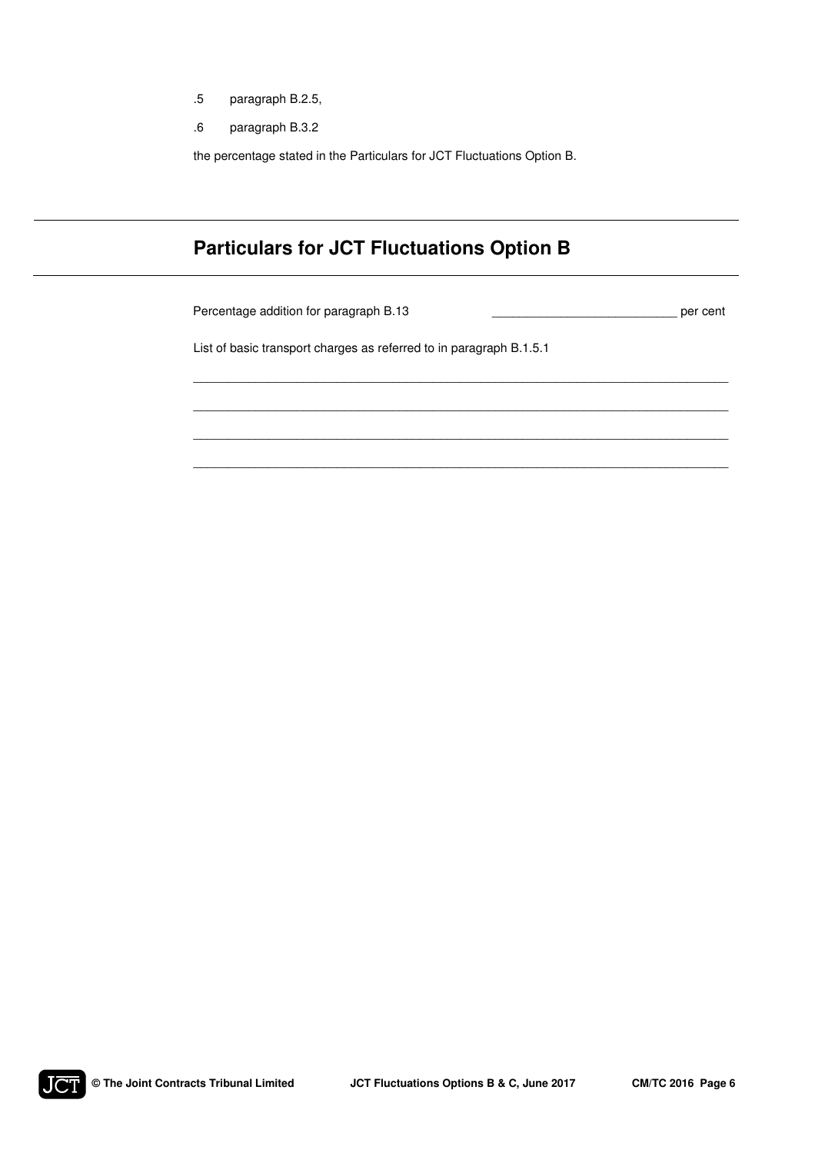- .5 paragraph B.2.5,
- .6 paragraph B.3.2

the percentage stated in the Particulars for JCT Fluctuations Option B.

# **Particulars for JCT Fluctuations Option B**

Percentage addition for paragraph B.13 \_\_\_\_\_\_\_\_\_\_\_\_\_\_\_\_\_\_\_\_\_\_\_\_\_\_\_ per cent

List of basic transport charges as referred to in paragraph B.1.5.1

\_\_\_\_\_\_\_\_\_\_\_\_\_\_\_\_\_\_\_\_\_\_\_\_\_\_\_\_\_\_\_\_\_\_\_\_\_\_\_\_\_\_\_\_\_\_\_\_\_\_\_\_\_\_\_\_\_\_\_\_\_\_\_\_\_\_\_\_\_\_\_\_\_\_\_\_\_\_

\_\_\_\_\_\_\_\_\_\_\_\_\_\_\_\_\_\_\_\_\_\_\_\_\_\_\_\_\_\_\_\_\_\_\_\_\_\_\_\_\_\_\_\_\_\_\_\_\_\_\_\_\_\_\_\_\_\_\_\_\_\_\_\_\_\_\_\_\_\_\_\_\_\_\_\_\_\_

\_\_\_\_\_\_\_\_\_\_\_\_\_\_\_\_\_\_\_\_\_\_\_\_\_\_\_\_\_\_\_\_\_\_\_\_\_\_\_\_\_\_\_\_\_\_\_\_\_\_\_\_\_\_\_\_\_\_\_\_\_\_\_\_\_\_\_\_\_\_\_\_\_\_\_\_\_\_

\_\_\_\_\_\_\_\_\_\_\_\_\_\_\_\_\_\_\_\_\_\_\_\_\_\_\_\_\_\_\_\_\_\_\_\_\_\_\_\_\_\_\_\_\_\_\_\_\_\_\_\_\_\_\_\_\_\_\_\_\_\_\_\_\_\_\_\_\_\_\_\_\_\_\_\_\_\_

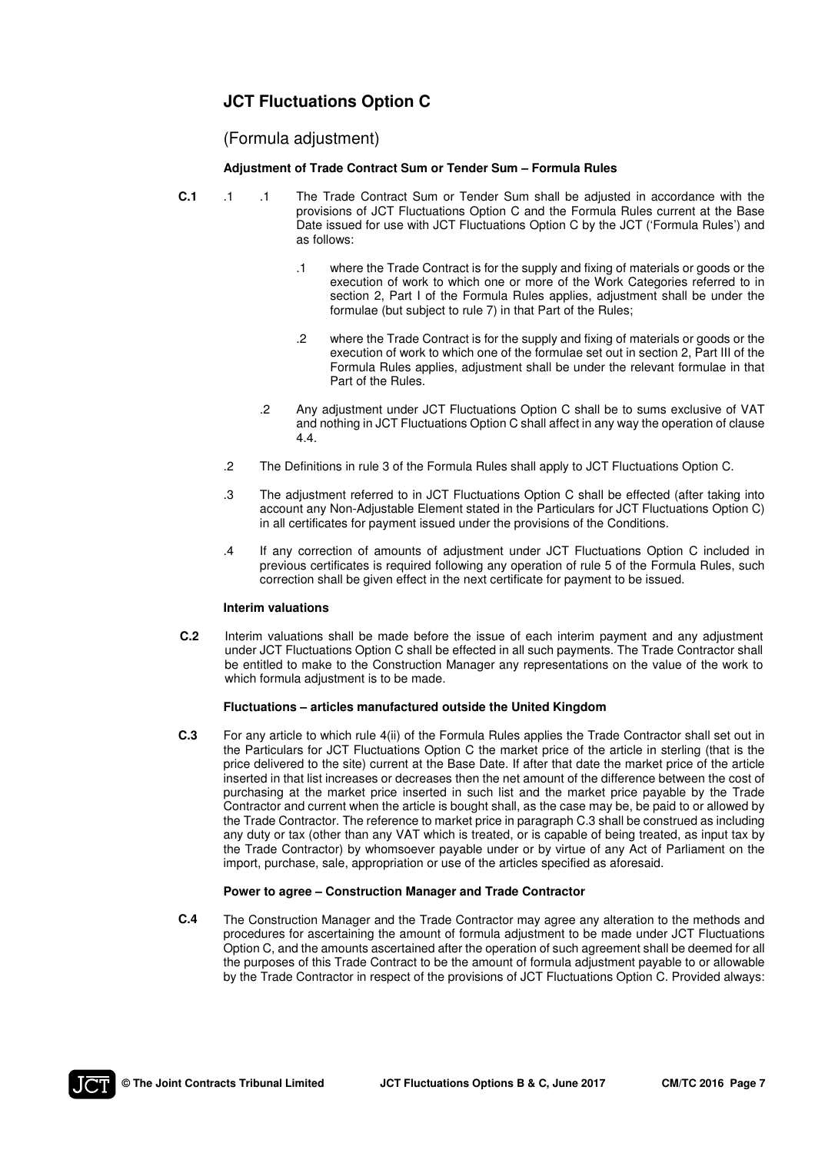## **JCT Fluctuations Option C**

### (Formula adjustment)

### **Adjustment of Trade Contract Sum or Tender Sum – Formula Rules**

- **C.1** .1 .1 The Trade Contract Sum or Tender Sum shall be adjusted in accordance with the provisions of JCT Fluctuations Option C and the Formula Rules current at the Base Date issued for use with JCT Fluctuations Option C by the JCT ('Formula Rules') and as follows:
	- .1 where the Trade Contract is for the supply and fixing of materials or goods or the execution of work to which one or more of the Work Categories referred to in section 2, Part I of the Formula Rules applies, adjustment shall be under the formulae (but subject to rule 7) in that Part of the Rules;
	- .2 where the Trade Contract is for the supply and fixing of materials or goods or the execution of work to which one of the formulae set out in section 2, Part III of the Formula Rules applies, adjustment shall be under the relevant formulae in that Part of the Rules.
	- .2 Any adjustment under JCT Fluctuations Option C shall be to sums exclusive of VAT and nothing in JCT Fluctuations Option C shall affect in any way the operation of clause 4.4.
	- .2 The Definitions in rule 3 of the Formula Rules shall apply to JCT Fluctuations Option C.
	- .3 The adjustment referred to in JCT Fluctuations Option C shall be effected (after taking into account any Non-Adjustable Element stated in the Particulars for JCT Fluctuations Option C) in all certificates for payment issued under the provisions of the Conditions.
	- .4 If any correction of amounts of adjustment under JCT Fluctuations Option C included in previous certificates is required following any operation of rule 5 of the Formula Rules, such correction shall be given effect in the next certificate for payment to be issued.

#### **Interim valuations**

**C.2** Interim valuations shall be made before the issue of each interim payment and any adjustment under JCT Fluctuations Option C shall be effected in all such payments. The Trade Contractor shall be entitled to make to the Construction Manager any representations on the value of the work to which formula adjustment is to be made.

### **Fluctuations – articles manufactured outside the United Kingdom**

**C.3** For any article to which rule 4(ii) of the Formula Rules applies the Trade Contractor shall set out in the Particulars for JCT Fluctuations Option C the market price of the article in sterling (that is the price delivered to the site) current at the Base Date. If after that date the market price of the article inserted in that list increases or decreases then the net amount of the difference between the cost of purchasing at the market price inserted in such list and the market price payable by the Trade Contractor and current when the article is bought shall, as the case may be, be paid to or allowed by the Trade Contractor. The reference to market price in paragraph C.3 shall be construed as including any duty or tax (other than any VAT which is treated, or is capable of being treated, as input tax by the Trade Contractor) by whomsoever payable under or by virtue of any Act of Parliament on the import, purchase, sale, appropriation or use of the articles specified as aforesaid.

#### **Power to agree – Construction Manager and Trade Contractor**

**C.4** The Construction Manager and the Trade Contractor may agree any alteration to the methods and procedures for ascertaining the amount of formula adjustment to be made under JCT Fluctuations Option C, and the amounts ascertained after the operation of such agreement shall be deemed for all the purposes of this Trade Contract to be the amount of formula adjustment payable to or allowable by the Trade Contractor in respect of the provisions of JCT Fluctuations Option C. Provided always:

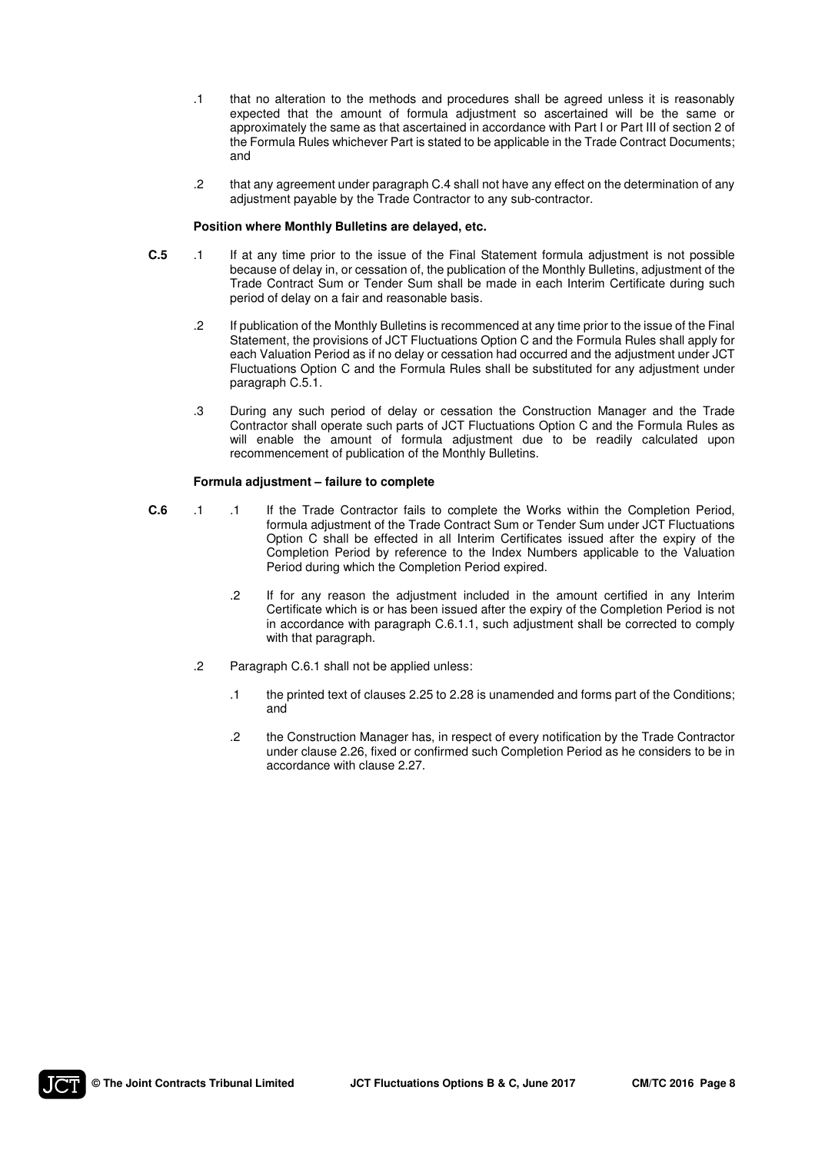- .1 that no alteration to the methods and procedures shall be agreed unless it is reasonably expected that the amount of formula adjustment so ascertained will be the same or approximately the same as that ascertained in accordance with Part I or Part III of section 2 of the Formula Rules whichever Part is stated to be applicable in the Trade Contract Documents; and
- .2 that any agreement under paragraph C.4 shall not have any effect on the determination of any adjustment payable by the Trade Contractor to any sub-contractor.

#### **Position where Monthly Bulletins are delayed, etc.**

- **C.5** .1 If at any time prior to the issue of the Final Statement formula adjustment is not possible because of delay in, or cessation of, the publication of the Monthly Bulletins, adjustment of the Trade Contract Sum or Tender Sum shall be made in each Interim Certificate during such period of delay on a fair and reasonable basis.
	- .2 If publication of the Monthly Bulletins is recommenced at any time prior to the issue of the Final Statement, the provisions of JCT Fluctuations Option C and the Formula Rules shall apply for each Valuation Period as if no delay or cessation had occurred and the adjustment under JCT Fluctuations Option C and the Formula Rules shall be substituted for any adjustment under paragraph C.5.1.
	- .3 During any such period of delay or cessation the Construction Manager and the Trade Contractor shall operate such parts of JCT Fluctuations Option C and the Formula Rules as will enable the amount of formula adjustment due to be readily calculated upon recommencement of publication of the Monthly Bulletins.

#### **Formula adjustment – failure to complete**

- **C.6** .1 .1 If the Trade Contractor fails to complete the Works within the Completion Period, formula adjustment of the Trade Contract Sum or Tender Sum under JCT Fluctuations Option C shall be effected in all Interim Certificates issued after the expiry of the Completion Period by reference to the Index Numbers applicable to the Valuation Period during which the Completion Period expired.
	- .2 If for any reason the adjustment included in the amount certified in any Interim Certificate which is or has been issued after the expiry of the Completion Period is not in accordance with paragraph C.6.1.1, such adjustment shall be corrected to comply with that paragraph.
	- .2 Paragraph C.6.1 shall not be applied unless:
		- .1 the printed text of clauses 2.25 to 2.28 is unamended and forms part of the Conditions; and
		- .2 the Construction Manager has, in respect of every notification by the Trade Contractor under clause 2.26, fixed or confirmed such Completion Period as he considers to be in accordance with clause 2.27.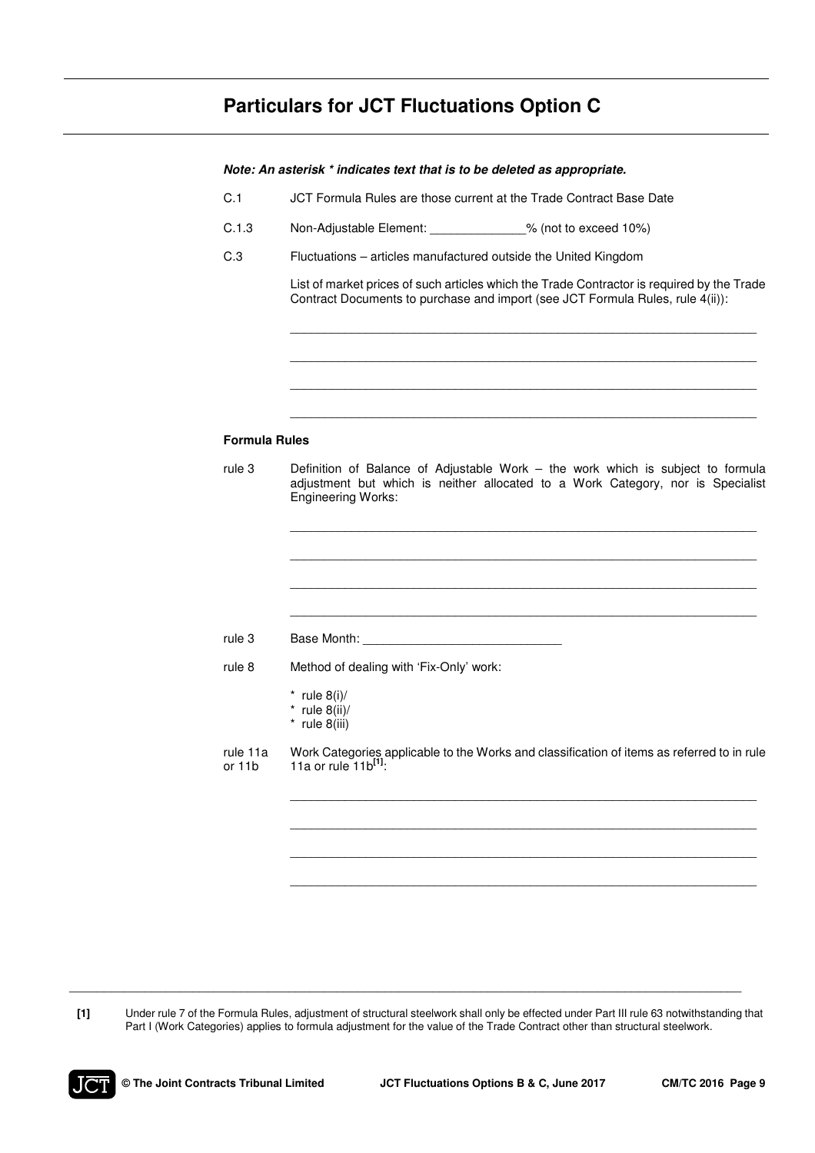# **Particulars for JCT Fluctuations Option C**

|                      | Note: An asterisk * indicates text that is to be deleted as appropriate.                                                                                                                        |  |  |  |  |  |
|----------------------|-------------------------------------------------------------------------------------------------------------------------------------------------------------------------------------------------|--|--|--|--|--|
| C.1                  | JCT Formula Rules are those current at the Trade Contract Base Date                                                                                                                             |  |  |  |  |  |
| C.1.3                | Non-Adjustable Element: 2008) % (not to exceed 10%)                                                                                                                                             |  |  |  |  |  |
| C.3                  | Fluctuations - articles manufactured outside the United Kingdom                                                                                                                                 |  |  |  |  |  |
|                      | List of market prices of such articles which the Trade Contractor is required by the Trade<br>Contract Documents to purchase and import (see JCT Formula Rules, rule 4(ii)):                    |  |  |  |  |  |
|                      |                                                                                                                                                                                                 |  |  |  |  |  |
| <b>Formula Rules</b> |                                                                                                                                                                                                 |  |  |  |  |  |
| rule 3               | Definition of Balance of Adjustable Work - the work which is subject to formula<br>adjustment but which is neither allocated to a Work Category, nor is Specialist<br><b>Engineering Works:</b> |  |  |  |  |  |
|                      |                                                                                                                                                                                                 |  |  |  |  |  |
| rule 3               | Base Month: Note and Second State Month:                                                                                                                                                        |  |  |  |  |  |
| rule 8               | Method of dealing with 'Fix-Only' work:                                                                                                                                                         |  |  |  |  |  |
|                      | * rule $8(i)$ /<br>* rule $8(ii)$ /<br>$*$ rule 8(iii)                                                                                                                                          |  |  |  |  |  |
| rule 11a<br>or 11b   | Work Categories applicable to the Works and classification of items as referred to in rule<br>11a or rule 11b <sup>[1]</sup> :                                                                  |  |  |  |  |  |
|                      |                                                                                                                                                                                                 |  |  |  |  |  |
|                      |                                                                                                                                                                                                 |  |  |  |  |  |
|                      |                                                                                                                                                                                                 |  |  |  |  |  |
|                      |                                                                                                                                                                                                 |  |  |  |  |  |

**[1]** Under rule 7 of the Formula Rules, adjustment of structural steelwork shall only be effected under Part III rule 63 notwithstanding that Part I (Work Categories) applies to formula adjustment for the value of the Trade Contract other than structural steelwork.

 $\mathcal{L}_\mathcal{L} = \mathcal{L}_\mathcal{L} = \mathcal{L}_\mathcal{L} = \mathcal{L}_\mathcal{L} = \mathcal{L}_\mathcal{L} = \mathcal{L}_\mathcal{L} = \mathcal{L}_\mathcal{L} = \mathcal{L}_\mathcal{L} = \mathcal{L}_\mathcal{L} = \mathcal{L}_\mathcal{L} = \mathcal{L}_\mathcal{L} = \mathcal{L}_\mathcal{L} = \mathcal{L}_\mathcal{L} = \mathcal{L}_\mathcal{L} = \mathcal{L}_\mathcal{L} = \mathcal{L}_\mathcal{L} = \mathcal{L}_\mathcal{L}$